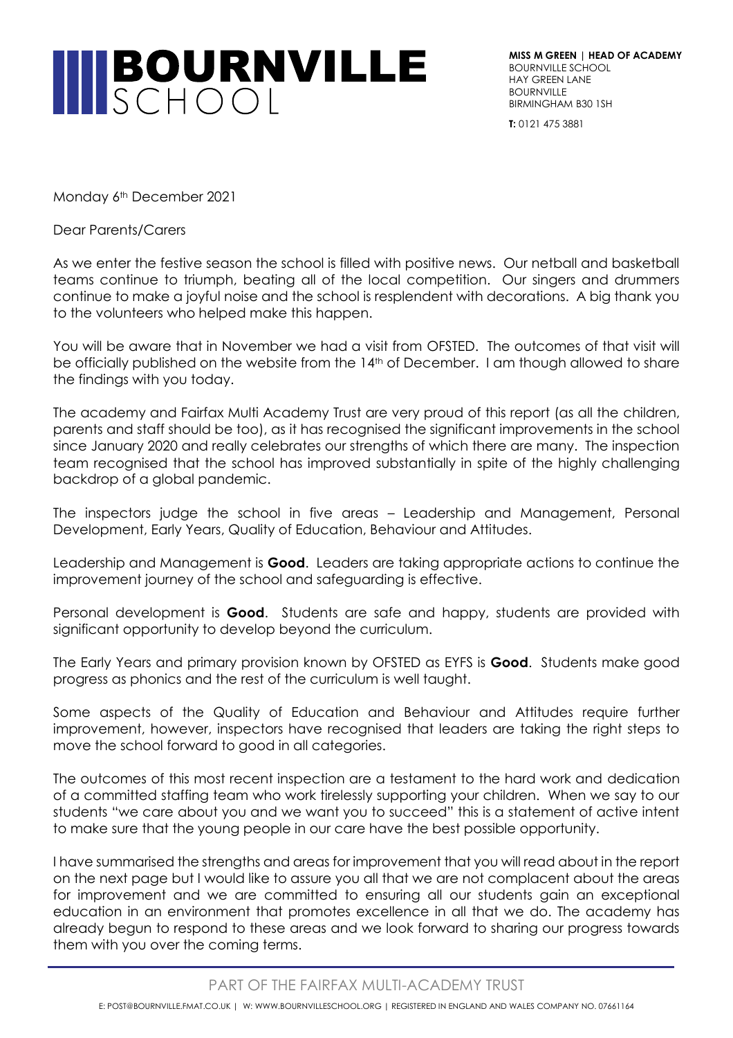

**MISS M GREEN | HEAD OF ACADEMY** BOURNVILLE SCHOOL HAY GREEN LANE **BOURNVILLE** BIRMINGHAM B30 1SH

**T:** 0121 475 3881

Monday 6<sup>th</sup> December 2021

Dear Parents/Carers

As we enter the festive season the school is filled with positive news. Our netball and basketball teams continue to triumph, beating all of the local competition. Our singers and drummers continue to make a joyful noise and the school is resplendent with decorations. A big thank you to the volunteers who helped make this happen.

You will be aware that in November we had a visit from OFSTED. The outcomes of that visit will be officially published on the website from the 14<sup>th</sup> of December. I am though allowed to share the findings with you today.

The academy and Fairfax Multi Academy Trust are very proud of this report (as all the children, parents and staff should be too), as it has recognised the significant improvements in the school since January 2020 and really celebrates our strengths of which there are many. The inspection team recognised that the school has improved substantially in spite of the highly challenging backdrop of a global pandemic.

The inspectors judge the school in five areas – Leadership and Management, Personal Development, Early Years, Quality of Education, Behaviour and Attitudes.

Leadership and Management is **Good**. Leaders are taking appropriate actions to continue the improvement journey of the school and safeguarding is effective.

Personal development is **Good**. Students are safe and happy, students are provided with significant opportunity to develop beyond the curriculum.

The Early Years and primary provision known by OFSTED as EYFS is **Good**. Students make good progress as phonics and the rest of the curriculum is well taught.

Some aspects of the Quality of Education and Behaviour and Attitudes require further improvement, however, inspectors have recognised that leaders are taking the right steps to move the school forward to good in all categories.

The outcomes of this most recent inspection are a testament to the hard work and dedication of a committed staffing team who work tirelessly supporting your children. When we say to our students "we care about you and we want you to succeed" this is a statement of active intent to make sure that the young people in our care have the best possible opportunity.

I have summarised the strengths and areas for improvement that you will read about in the report on the next page but I would like to assure you all that we are not complacent about the areas for improvement and we are committed to ensuring all our students gain an exceptional education in an environment that promotes excellence in all that we do. The academy has already begun to respond to these areas and we look forward to sharing our progress towards them with you over the coming terms.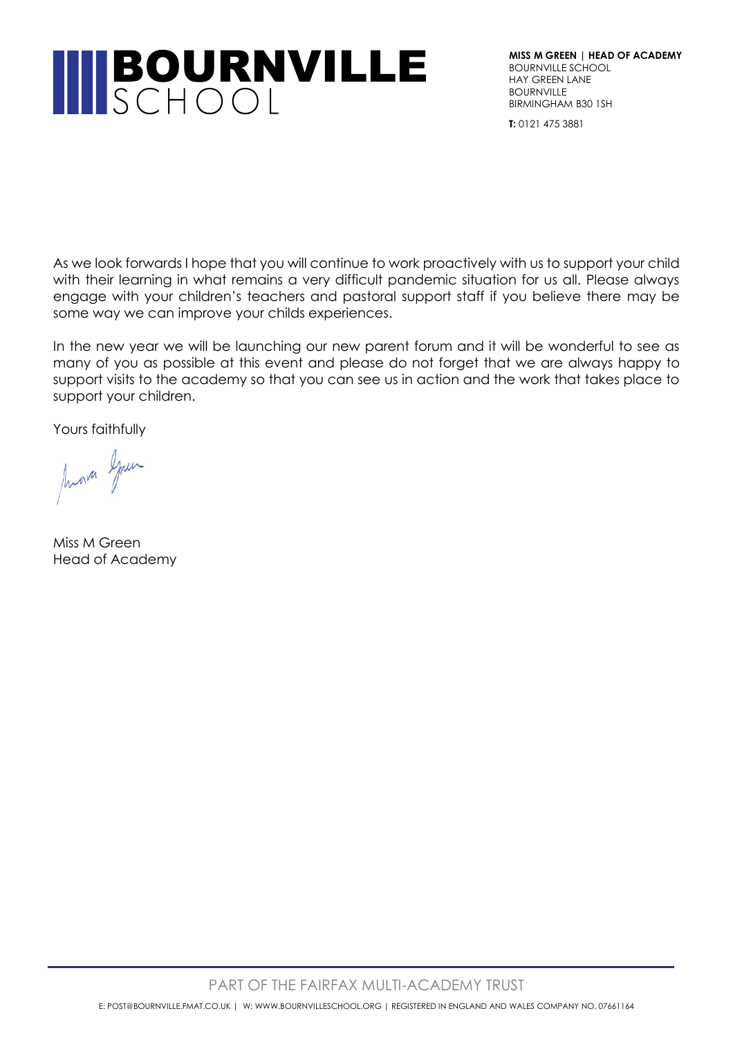## **INBOURNVILLE**

**MISS M GREEN | HEAD OF ACADEMY** BOURNVILLE SCHOOL HAY GREEN LANE **BOURNVILLE** BIRMINGHAM B30 1SH

**T:** 0121 475 3881

As we look forwards I hope that you will continue to work proactively with us to support your child with their learning in what remains a very difficult pandemic situation for us all. Please always engage with your children's teachers and pastoral support staff if you believe there may be some way we can improve your childs experiences.

In the new year we will be launching our new parent forum and it will be wonderful to see as many of you as possible at this event and please do not forget that we are always happy to support visits to the academy so that you can see us in action and the work that takes place to support your children.

Yours faithfully

Mora Spun

Miss M Green Head of Academy

PART OF THE FAIRFAX MULTI-ACADEMY TRUST

E: POST@BOURNVILLE.FMAT.CO.UK | W: WWW.BOURNVILLESCHOOL.ORG | REGISTERED IN ENGLAND AND WALES COMPANY NO. 07661164